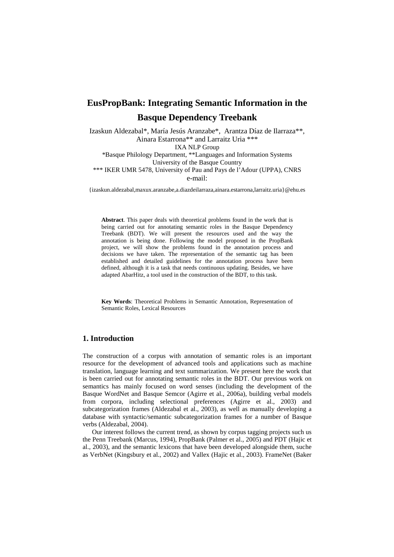# **EusPropBank: Integrating Semantic Information in the Basque Dependency Treebank**

Izaskun Aldezabal\*, María Jesús Aranzabe\*, Arantza Díaz de Ilarraza\*\*, Ainara Estarrona\*\* and Larraitz Uria \*\*\* IXA NLP Group \*Basque Philology Department, \*\*Languages and Information Systems University of the Basque Country \*\*\* IKER UMR 5478, University of Pau and Pays de l'Adour (UPPA), CNRS e-mail:

{izaskun.aldezabal,maxux.aranzabe,a.diazdeilarraza,ainara.estarrona,larraitz.uria}@ehu.es

**Abstract**. This paper deals with theoretical problems found in the work that is being carried out for annotating semantic roles in the Basque Dependency Treebank (BDT). We will present the resources used and the way the annotation is being done. Following the model proposed in the PropBank project, we will show the problems found in the annotation process and decisions we have taken. The representation of the semantic tag has been established and detailed guidelines for the annotation process have been defined, although it is a task that needs continuous updating. Besides, we have adapted AbarHitz, a tool used in the construction of the BDT, to this task.

**Key Words**: Theoretical Problems in Semantic Annotation, Representation of Semantic Roles, Lexical Resources

# **1. Introduction**

The construction of a corpus with annotation of semantic roles is an important resource for the development of advanced tools and applications such as machine translation, language learning and text summarization. We present here the work that is been carried out for annotating semantic roles in the BDT. Our previous work on semantics has mainly focused on word senses (including the development of the Basque WordNet and Basque Semcor (Agirre et al., 2006a), building verbal models from corpora, including selectional preferences (Agirre et al., 2003) and subcategorization frames (Aldezabal et al., 2003), as well as manually developing a database with syntactic/semantic subcategorization frames for a number of Basque verbs (Aldezabal, 2004).

Our interest follows the current trend, as shown by corpus tagging projects such us the Penn Treebank (Marcus, 1994), PropBank (Palmer et al., 2005) and PDT (Hajic et al., 2003), and the semantic lexicons that have been developed alongside them, suche as VerbNet (Kingsbury et al., 2002) and Vallex (Hajic et al., 2003). FrameNet (Baker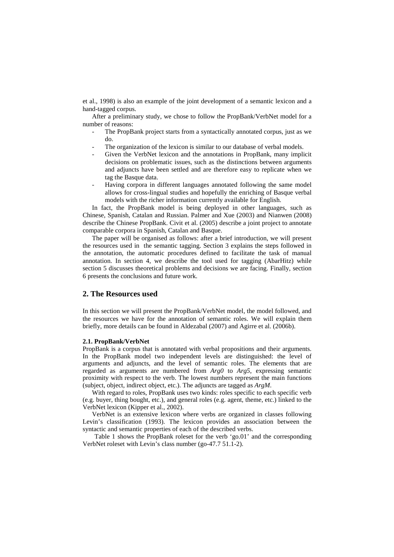et al., 1998) is also an example of the joint development of a semantic lexicon and a hand-tagged corpus.

After a preliminary study, we chose to follow the PropBank/VerbNet model for a number of reasons:

- The PropBank project starts from a syntactically annotated corpus, just as we do.
- The organization of the lexicon is similar to our database of verbal models.
- Given the VerbNet lexicon and the annotations in PropBank, many implicit decisions on problematic issues, such as the distinctions between arguments and adjuncts have been settled and are therefore easy to replicate when we tag the Basque data.
- Having corpora in different languages annotated following the same model allows for cross-lingual studies and hopefully the enriching of Basque verbal models with the richer information currently available for English.

In fact, the PropBank model is being deployed in other languages, such as Chinese, Spanish, Catalan and Russian. Palmer and Xue (2003) and Nianwen (2008) describe the Chinese PropBank. Civit et al. (2005) describe a joint project to annotate comparable corpora in Spanish, Catalan and Basque.

The paper will be organised as follows: after a brief introduction, we will present the resources used in the semantic tagging. Section 3 explains the steps followed in the annotation, the automatic procedures defined to facilitate the task of manual annotation. In section 4, we describe the tool used for tagging (AbarHitz) while section 5 discusses theoretical problems and decisions we are facing. Finally, section 6 presents the conclusions and future work.

## **2. The Resources used**

In this section we will present the PropBank/VerbNet model, the model followed, and the resources we have for the annotation of semantic roles. We will explain them briefly, more details can be found in Aldezabal (2007) and Agirre et al. (2006b).

#### **2.1. PropBank/VerbNet**

PropBank is a corpus that is annotated with verbal propositions and their arguments. In the PropBank model two independent levels are distinguished: the level of arguments and adjuncts, and the level of semantic roles. The elements that are regarded as arguments are numbered from *Arg0* to *Arg5*, expressing semantic proximity with respect to the verb. The lowest numbers represent the main functions (subject, object, indirect object, etc.). The adjuncts are tagged as *ArgM*.

With regard to roles, PropBank uses two kinds: roles specific to each specific verb (e.g. buyer, thing bought, etc.), and general roles (e.g. agent, theme, etc.) linked to the VerbNet lexicon (Kipper et al., 2002).

VerbNet is an extensive lexicon where verbs are organized in classes following Levin's classification (1993). The lexicon provides an association between the syntactic and semantic properties of each of the described verbs.

Table 1 shows the PropBank roleset for the verb 'go.01' and the corresponding VerbNet roleset with Levin's class number (go-47.7 51.1-2).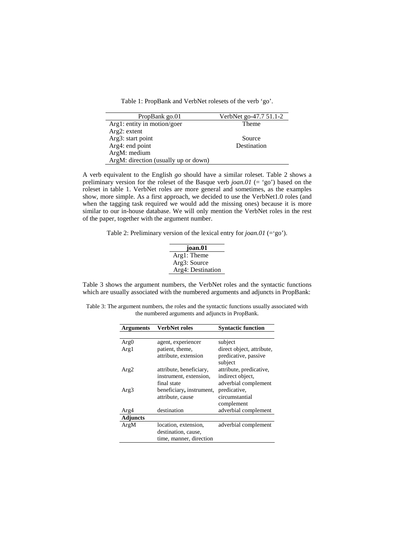Table 1: PropBank and VerbNet rolesets of the verb 'go'.

| PropBank go.01                       | VerbNet go-47.7 51.1-2 |
|--------------------------------------|------------------------|
| Arg1: entity in motion/goer          | Theme                  |
| $Arg2$ : extent                      |                        |
| Arg3: start point                    | Source                 |
| Arg4: end point                      | Destination            |
| ArgM: medium                         |                        |
| ArgM: direction (usually up or down) |                        |

A verb equivalent to the English *go* should have a similar roleset. Table 2 shows a preliminary version for the roleset of the Basque verb *joan.01* (= 'go') based on the roleset in table 1. VerbNet roles are more general and sometimes, as the examples show, more simple. As a first approach, we decided to use the VerbNet1.0 roles (and when the tagging task required we would add the missing ones) because it is more similar to our in-house database. We will only mention the VerbNet roles in the rest of the paper, together with the argument number.

Table 2: Preliminary version of the lexical entry for *joan.01* (='go').

| joan.01           |  |
|-------------------|--|
| Arg1: Theme       |  |
| Arg3: Source      |  |
| Arg4: Destination |  |
|                   |  |

Table 3 shows the argument numbers, the VerbNet roles and the syntactic functions which are usually associated with the numbered arguments and adjuncts in PropBank:

Table 3: The argument numbers, the roles and the syntactic functions usually associated with the numbered arguments and adjuncts in PropBank.

| Arguments       | <b>VerbNet roles</b>     | <b>Syntactic function</b>       |
|-----------------|--------------------------|---------------------------------|
|                 |                          |                                 |
| Arg0            | agent, experiencer       | subject                         |
| Arg1            | patient, theme,          | direct object, attribute,       |
|                 | attribute, extension     | predicative, passive<br>subject |
| Arg2            | attribute, beneficiary,  | attribute, predicative,         |
|                 | instrument, extension,   | indirect object,                |
|                 | final state              | adverbial complement            |
| Arg3            | beneficiary, instrument, | predicative,                    |
|                 | attribute, cause         | circumstantial                  |
|                 |                          | complement                      |
| Arg4            | destination              | adverbial complement            |
| <b>Adjuncts</b> |                          |                                 |
| ArgM            | location, extension,     | adverbial complement            |
|                 | destination, cause,      |                                 |
|                 | time, manner, direction  |                                 |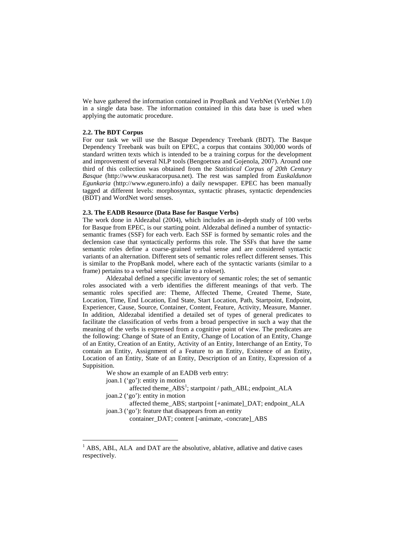We have gathered the information contained in PropBank and VerbNet (VerbNet 1.0) in a single data base. The information contained in this data base is used when applying the automatic procedure.

#### **2.2. The BDT Corpus**

For our task we will use the Basque Dependency Treebank (BDT). The Basque Dependency Treebank was built on EPEC, a corpus that contains 300,000 words of standard written texts which is intended to be a training corpus for the development and improvement of several NLP tools (Bengoetxea and Gojenola, 2007). Around one third of this collection was obtained from the *Statistical Corpus of 20th Century Basque* (http://www.euskaracorpusa.net). The rest was sampled from *Euskaldunon Egunkaria* (http://www.egunero.info) a daily newspaper. EPEC has been manually tagged at different levels: morphosyntax, syntactic phrases, syntactic dependencies (BDT) and WordNet word senses.

#### **2.3. The EADB Resource (Data Base for Basque Verbs)**

The work done in Aldezabal (2004), which includes an in-depth study of 100 verbs for Basque from EPEC, is our starting point. Aldezabal defined a number of syntacticsemantic frames (SSF) for each verb. Each SSF is formed by semantic roles and the declension case that syntactically performs this role. The SSFs that have the same semantic roles define a coarse-grained verbal sense and are considered syntactic variants of an alternation. Different sets of semantic roles reflect different senses. This is similar to the PropBank model, where each of the syntactic variants (similar to a frame) pertains to a verbal sense (similar to a roleset).

Aldezabal defined a specific inventory of semantic roles; the set of semantic roles associated with a verb identifies the different meanings of that verb. The semantic roles specified are: Theme, Affected Theme, Created Theme, State, Location, Time, End Location, End State, Start Location, Path, Startpoint, Endpoint, Experiencer, Cause, Source, Container, Content, Feature, Activity, Measure, Manner. In addition, Aldezabal identified a detailed set of types of general predicates to facilitate the classification of verbs from a broad perspective in such a way that the meaning of the verbs is expressed from a cognitive point of view. The predicates are the following: Change of State of an Entity, Change of Location of an Entity, Change of an Entity, Creation of an Entity, Activity of an Entity, Interchange of an Entity, To contain an Entity, Assignment of a Feature to an Entity, Existence of an Entity, Location of an Entity, State of an Entity, Description of an Entity, Expression of a Suppisition.

We show an example of an EADB verb entry:

joan.1 ('go'): entity in motion

 $\overline{a}$ 

affected theme\_ABS<sup>1</sup>; startpoint / path\_ABL; endpoint\_ALA joan.2 ('go'): entity in motion

 affected theme\_ABS; startpoint [+animate]\_DAT; endpoint\_ALA joan.3 ('go'): feature that disappears from an entity

container\_DAT; content [-animate, -concrate]\_ABS

 $<sup>1</sup>$  ABS, ABL, ALA and DAT are the absolutive, ablative, adlative and dative cases</sup> respectively.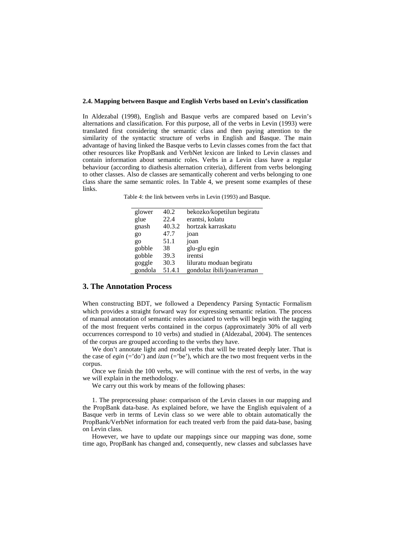#### **2.4. Mapping between Basque and English Verbs based on Levin's classification**

In Aldezabal (1998), English and Basque verbs are compared based on Levin's alternations and classification. For this purpose, all of the verbs in Levin (1993) were translated first considering the semantic class and then paying attention to the similarity of the syntactic structure of verbs in English and Basque. The main advantage of having linked the Basque verbs to Levin classes comes from the fact that other resources like PropBank and VerbNet lexicon are linked to Levin classes and contain information about semantic roles. Verbs in a Levin class have a regular behaviour (according to diathesis alternation criteria), different from verbs belonging to other classes. Also de classes are semantically coherent and verbs belonging to one class share the same semantic roles. In Table 4, we present some examples of these links.

Table 4: the link between verbs in Levin (1993) and Basque.

| glower  | 40.2   | bekozko/kopetilun begiratu |
|---------|--------|----------------------------|
| glue    | 22.4   | erantsi, kolatu            |
| gnash   | 40.3.2 | hortzak karraskatu         |
| go      | 47.7   | joan                       |
| go      | 51.1   | joan                       |
| gobble  | 38     | glu-glu egin               |
| gobble  | 39.3   | irentsi                    |
| goggle  | 30.3   | liluratu moduan begiratu   |
| gondola | 51.4.1 | gondolaz ibili/joan/eraman |

## **3. The Annotation Process**

When constructing BDT, we followed a Dependency Parsing Syntactic Formalism which provides a straight forward way for expressing semantic relation. The process of manual annotation of semantic roles associated to verbs will begin with the tagging of the most frequent verbs contained in the corpus (approximately 30% of all verb occurrences correspond to 10 verbs) and studied in (Aldezabal, 2004). The sentences of the corpus are grouped according to the verbs they have.

We don't annotate light and modal verbs that will be treated deeply later. That is the case of  $egin (='do')$  and  $izan (='be')$ , which are the two most frequent verbs in the corpus.

Once we finish the 100 verbs, we will continue with the rest of verbs, in the way we will explain in the methodology.

We carry out this work by means of the following phases:

1. The preprocessing phase: comparison of the Levin classes in our mapping and the PropBank data-base. As explained before, we have the English equivalent of a Basque verb in terms of Levin class so we were able to obtain automatically the PropBank/VerbNet information for each treated verb from the paid data-base, basing on Levin class.

However, we have to update our mappings since our mapping was done, some time ago, PropBank has changed and, consequently, new classes and subclasses have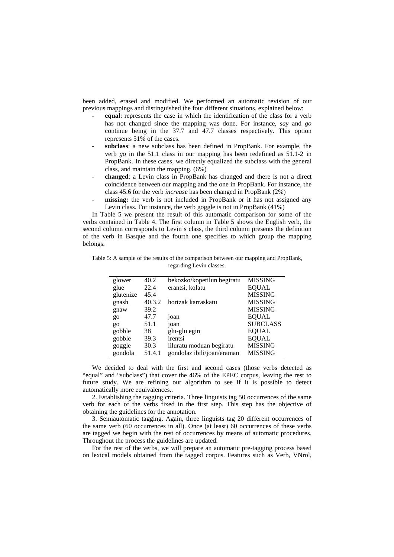been added, erased and modified. We performed an automatic revision of our previous mappings and distinguished the four different situations, explained below:

- equal: represents the case in which the identification of the class for a verb has not changed since the mapping was done. For instance, *say* and *go* continue being in the 37.7 and 47.7 classes respectively. This option represents 51% of the cases.
- **subclass**: a new subclass has been defined in PropBank. For example, the verb *go* in the 51.1 class in our mapping has been redefined as 51.1-2 in PropBank. In these cases, we directly equalized the subclass with the general class, and maintain the mapping. (6%)
- changed: a Levin class in PropBank has changed and there is not a direct coincidence between our mapping and the one in PropBank. For instance, the class 45.6 for the verb *increase* has been changed in PropBank (2%)
- missing: the verb is not included in PropBank or it has not assigned any Levin class. For instance, the verb goggle is not in PropBank (41%)

In Table 5 we present the result of this automatic comparison for some of the verbs contained in Table 4. The first column in Table 5 shows the English verb, the second column corresponds to Levin's class, the third column presents the definition of the verb in Basque and the fourth one specifies to which group the mapping belongs.

| glower    | 40.2   | bekozko/kopetilun begiratu | <b>MISSING</b>  |
|-----------|--------|----------------------------|-----------------|
| glue      | 22.4   | erantsi, kolatu            | <b>EQUAL</b>    |
| glutenize | 45.4   |                            | <b>MISSING</b>  |
| gnash     | 40.3.2 | hortzak karraskatu         | <b>MISSING</b>  |
| gnaw      | 39.2   |                            | <b>MISSING</b>  |
| $g_{0}$   | 47.7   | joan                       | <b>EQUAL</b>    |
| $g_{0}$   | 51.1   | joan                       | <b>SUBCLASS</b> |
| gobble    | 38     | glu-glu egin               | <b>EQUAL</b>    |
| gobble    | 39.3   | irentsi                    | <b>EQUAL</b>    |
| goggle    | 30.3   | liluratu moduan begiratu   | <b>MISSING</b>  |

Table 5: A sample of the results of the comparison between our mapping and PropBank, regarding Levin classes.

We decided to deal with the first and second cases (those verbs detected as "equal" and "subclass") that cover the 46% of the EPEC corpus, leaving the rest to future study. We are refining our algorithm to see if it is possible to detect automatically more equivalences..

gondola 51.4.1 gondolaz ibili/joan/eraman MISSING

2. Establishing the tagging criteria. Three linguists tag 50 occurrences of the same verb for each of the verbs fixed in the first step. This step has the objective of obtaining the guidelines for the annotation.

3. Semiautomatic tagging. Again, three linguists tag 20 different occurrences of the same verb (60 occurrences in all). Once (at least) 60 occurrences of these verbs are tagged we begin with the rest of occurrences by means of automatic procedures. Throughout the process the guidelines are updated.

For the rest of the verbs, we will prepare an automatic pre-tagging process based on lexical models obtained from the tagged corpus. Features such as Verb, VNrol,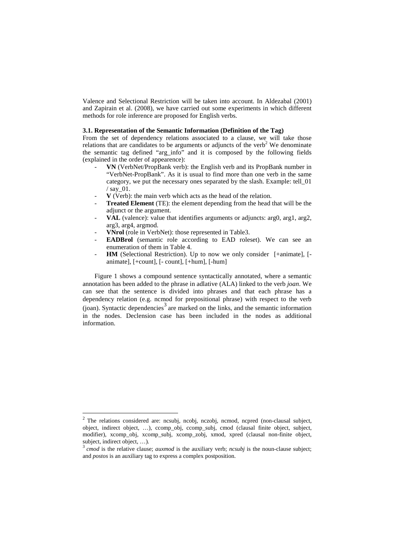Valence and Selectional Restriction will be taken into account. In Aldezabal (2001) and Zapirain et al. (2008), we have carried out some experiments in which different methods for role inference are proposed for English verbs.

## **3.1. Representation of the Semantic Information (Definition of the Tag)**

From the set of dependency relations associated to a clause, we will take those relations that are candidates to be arguments or adjuncts of the verb<sup>2</sup> We denominate the semantic tag defined "arg\_info" and it is composed by the following fields (explained in the order of appearence):

- **VN** (VerbNet/PropBank verb): the English verb and its PropBank number in "VerbNet-PropBank". As it is usual to find more than one verb in the same category, we put the necessary ones separated by the slash. Example: tell\_01 / say\_01.
- **V** (Verb): the main verb which acts as the head of the relation.
- **Treated Element** (TE): the element depending from the head that will be the adjunct or the argument.
- VAL (valence): value that identifies arguments or adjuncts: arg0, arg1, arg2, arg3, arg4, argmod.
- **VNrol** (role in VerbNet): those represented in Table3.
- **EADBrol** (semantic role according to EAD roleset). We can see an enumeration of them in Table 4.
- HM (Selectional Restriction). Up to now we only consider [+animate], [animate], [+count], [- count], [+hum], [-hum]

Figure 1 shows a compound sentence syntactically annotated, where a semantic annotation has been added to the phrase in adlative (ALA) linked to the verb *joan*. We can see that the sentence is divided into phrases and that each phrase has a dependency relation (e.g. ncmod for prepositional phrase) with respect to the verb  $(joan)$ . Syntactic dependencies<sup>3</sup> are marked on the links, and the semantic information in the nodes. Declension case has been included in the nodes as additional information.

 $\overline{a}$ 

 $2$  The relations considered are: ncsubj, ncobj, nczobj, ncmod, ncpred (non-clausal subject, object, indirect object, …), ccomp\_obj, ccomp\_subj, cmod (clausal finite object, subject, modifier), xcomp\_obj, xcomp\_subj, xcomp\_zobj, xmod, xpred (clausal non-finite object, subject, indirect object, …).

<sup>3</sup>*cmod* is the relative clause; *auxmod* is the auxiliary verb; *ncsubj* is the noun-clause subject; and *postos* is an auxiliary tag to express a complex postposition.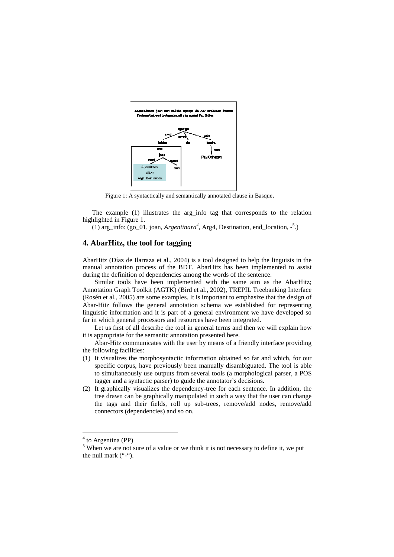

Figure 1: A syntactically and semantically annotated clause in Basque.

The example (1) illustrates the arg\_info tag that corresponds to the relation highlighted in Figure 1.

(1) arg\_info: (go\_01, joan, *Argentinara<sup>4</sup>* , Arg4, Destination, end\_location, -<sup>5</sup> .)

# **4. AbarHitz, the tool for tagging**

AbarHitz (Díaz de Ilarraza et al., 2004) is a tool designed to help the linguists in the manual annotation process of the BDT. AbarHitz has been implemented to assist during the definition of dependencies among the words of the sentence.

Similar tools have been implemented with the same aim as the AbarHitz; Annotation Graph Toolkit (AGTK) (Bird et al., 2002), TREPIL Treebanking Interface (Rosén et al., 2005) are some examples. It is important to emphasize that the design of Abar-Hitz follows the general annotation schema we established for representing linguistic information and it is part of a general environment we have developed so far in which general processors and resources have been integrated.

Let us first of all describe the tool in general terms and then we will explain how it is appropriate for the semantic annotation presented here.

Abar-Hitz communicates with the user by means of a friendly interface providing the following facilities:

- (1) It visualizes the morphosyntactic information obtained so far and which, for our specific corpus, have previously been manually disambiguated. The tool is able to simultaneously use outputs from several tools (a morphological parser, a POS tagger and a syntactic parser) to guide the annotator's decisions.
- (2) It graphically visualizes the dependency-tree for each sentence. In addition, the tree drawn can be graphically manipulated in such a way that the user can change the tags and their fields, roll up sub-trees, remove/add nodes, remove/add connectors (dependencies) and so on.

 $\overline{a}$ 

<sup>&</sup>lt;sup>4</sup> to Argentina (PP)

 $<sup>5</sup>$  When we are not sure of a value or we think it is not necessary to define it, we put</sup> the null mark ("-").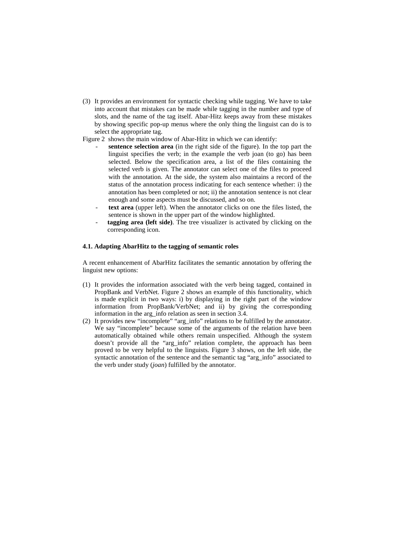(3) It provides an environment for syntactic checking while tagging. We have to take into account that mistakes can be made while tagging in the number and type of slots, and the name of the tag itself. Abar-Hitz keeps away from these mistakes by showing specific pop-up menus where the only thing the linguist can do is to select the appropriate tag.

Figure 2 shows the main window of Abar-Hitz in which we can identify:

- **sentence selection area** (in the right side of the figure). In the top part the linguist specifies the verb; in the example the verb joan (to go) has been selected. Below the specification area, a list of the files containing the selected verb is given. The annotator can select one of the files to proceed with the annotation. At the side, the system also maintains a record of the status of the annotation process indicating for each sentence whether: i) the annotation has been completed or not; ii) the annotation sentence is not clear enough and some aspects must be discussed, and so on.
- text area (upper left). When the annotator clicks on one the files listed, the sentence is shown in the upper part of the window highlighted.
- **tagging area (left side)**. The tree visualizer is activated by clicking on the corresponding icon.

### **4.1. Adapting AbarHitz to the tagging of semantic roles**

A recent enhancement of AbarHitz facilitates the semantic annotation by offering the linguist new options:

- (1) It provides the information associated with the verb being tagged, contained in PropBank and VerbNet. Figure 2 shows an example of this functionality, which is made explicit in two ways: i) by displaying in the right part of the window information from PropBank/VerbNet; and ii) by giving the corresponding information in the arg\_info relation as seen in section 3.4.
- (2) It provides new "incomplete" "arg\_info" relations to be fulfilled by the annotator. We say "incomplete" because some of the arguments of the relation have been automatically obtained while others remain unspecified. Although the system doesn't provide all the "arg\_info" relation complete, the approach has been proved to be very helpful to the linguists. Figure 3 shows, on the left side, the syntactic annotation of the sentence and the semantic tag "arg\_info" associated to the verb under study (*joan*) fulfilled by the annotator.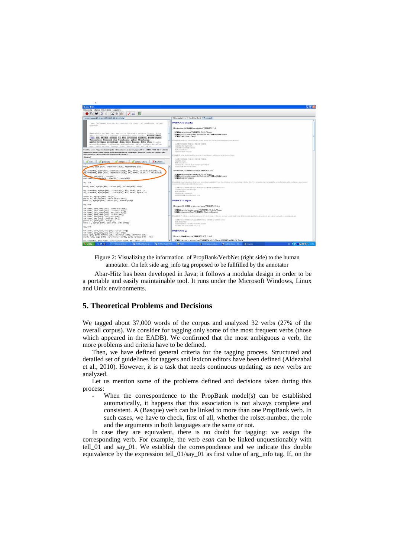| Abar-Hitz                                                                                                                                                                                   | . Ielx                                                                                                                                                                                                                                                                     |
|---------------------------------------------------------------------------------------------------------------------------------------------------------------------------------------------|----------------------------------------------------------------------------------------------------------------------------------------------------------------------------------------------------------------------------------------------------------------------------|
| Fitxategia Edizioa Etiketatzea Laguntza                                                                                                                                                     |                                                                                                                                                                                                                                                                            |
| $\mathfrak{D}$<br>$X$ <sup><math>\circ</math></sup><br>n<br>lе<br>$\sqrt{25}$                                                                                                               |                                                                                                                                                                                                                                                                            |
| maxux.equn.10-1-p4402.2000-10-01.kirola                                                                                                                                                     | Fitxategia ireki   Analisia ikusi   Propbank                                                                                                                                                                                                                               |
| Pau Orthesen kontra aurkestuko da gaur Tau Baskonia saleen<br>aurread .                                                                                                                     | PREDICATE: abandon                                                                                                                                                                                                                                                         |
|                                                                                                                                                                                             | ID: abandon.01 NAME leave behind VERBNET: 51.2                                                                                                                                                                                                                             |
| Gasteisko saleek Tau Baskonia ikusteko aukera isango dute<br>gaur equerdiko 12:15een Zurbanoko pabilioian. Argantinara<br>joen zen taldea egongo da Pau Orthezen kontra. Stonbergas.        | ROLBOt abandoner VNTHETA (51.2) Theme<br>ROLB11 thing abandoned, left behind VNTHETA (51.21 Source<br>ROLE/2t attribute of arr1                                                                                                                                            |
| Timinskas, Foirest eta Corchiani gabe; Obertoren<br>parte hartzes zalentzen dago bere lesios dels ets. Geurko                                                                               | EXAMPLE: And they believe the Big Board, under Mr. Phelan, had abandoned their interest.                                                                                                                                                                                   |
| norgehiagokan, taldaaren aurkesoenas gain, zaleek Esteller<br>aqurtseko aukera izango dute, Tauko jokalari ohia.                                                                            | ASPECT: FORM: PERSON: TENSE: VOICE:<br>ARG(0); the Big Board                                                                                                                                                                                                               |
| Esaldia: sent3 / Egoera: Landu gabe / Dokumentua: maxux egun.10-1-p4402.2000-10-01.kirola                                                                                                   | ARG(M); under Mr. Phelan.<br>REL: sbondoned                                                                                                                                                                                                                                |
| 3 Argentinara joan zen taldea egongo da Pau Orthezen kontra , Stombergas , Timinskas , Foirest eta Corchiani gabe                                                                           | ARG(1): their interest                                                                                                                                                                                                                                                     |
| Obertoren parte-hartzea zalantzan dago bere lesioa dela eta .<br>Oharra:                                                                                                                    | EXAMPLE: John shendoned his purpuit of an Olympic cold medal as a waste of time.                                                                                                                                                                                           |
|                                                                                                                                                                                             | ASPECT: FORM: PERSON: TENSE: VOICE:                                                                                                                                                                                                                                        |
| <b>M</b> baztertu<br>$\sqrt{2}$ anbiquoa<br>allantzazkoa<br>of partziala<br>$\frac{1}{2}$ osoa                                                                                              | ARG(0): John<br>REL: sheedoned                                                                                                                                                                                                                                             |
| ncmod (194, 10an-RAZ7), Argentinara-RAZ6), Argentinara-RAZ61)                                                                                                                               | ARG(1): his pursuit of an Olympic gold medal<br>×<br>ARG(2) (as); a yarte of time.                                                                                                                                                                                         |
| arg_info(vNrs, joan-[w27], Argentinara-[w26], BAL, VNrol, helburuko_kokapena, -)<br>ang_info(VNrs, joan-[w27], Argentinara-[w26], BAL, VNrol, UNEXPECTED, UNEXPECTED)                       | ID: abandon.02 NAME exchange VERBNET: 51.2                                                                                                                                                                                                                                 |
| auxies (-, joan-[w27], zen-[w28])<br>cmod (erit, and dea-[w29], joan-[w27], zen-[w28])                                                                                                      | ROLE@t abandoner VNTHETA (\$1.2) Theme<br>ROLET k thing abandoned, left behind VNTHETA (51.2): Source<br>ROLD'2k preferred item                                                                                                                                            |
| arg_info                                                                                                                                                                                    | EXAMPLE: One Colombian drug bozz, up on hearing in 1967 that Gen. Noriega was negotiating with the U.S. [*] to abandon his command for a comfortable exile, pent him a hand-rized<br>maho reny coffin engraved with his name.                                              |
| ncsubj (abs. egongo-[w30], taldea-[w29], taldea-[w29], subj)                                                                                                                                | ASPECT: no FORM: infinitive PERSON: no TENSE: no VOICE: setime                                                                                                                                                                                                             |
| arq_info(VMrs, econgo-[w30], taldea-[w29], BAL, VMrol, gaia, -)<br>arg_info(VNrs, egongo-[w30], taldea-[w29], BAL, VNrol, egoera, -)                                                        | ARG(0): [*] -> Gen. Nortega.<br>REL: shandon<br>ARG(1): his commond                                                                                                                                                                                                        |
| auxnod (-, egongo-[W30], da-[W31])<br>postos (-, kontra-[w34], Pau Orthezen-[ent7])<br>ncmod (-, egongo-[w30], kontra-[w34], kontra-[w34])                                                  | ARG(2) (for); a confortable calle-<br><b>PREDICATE:</b> depart                                                                                                                                                                                                             |
| arg_info                                                                                                                                                                                    | ID: depart.01 NAMB to go away, leave VERBNET: 51.1-1                                                                                                                                                                                                                       |
| lot (emen, punt_koma-[w37], Stombergas-[w36])<br>lot (emen, punt_koma-[w37], Timinskas-[w38])<br>lot (emen, punt_koma-[w39], punt_koma-[w37])<br>lot (emen, punt_koma-[w39], Foirest-[w40]) | ROLBOt entity leaving, agent VNTHETA (51.1-1); Theme<br>ROLB11 departed from VNTHETA (S1.1-11 Location<br>EXAMPLE: (*-1) Departing from decades of Joyiet dogma . the new system would lead to big differences in pay between workers and almost certainly to unemployment |
| lot (emen, eta-D+41), punt_koma-D+393)<br>lot (emen, eta-Dw41), Corchiani-Dw421)<br>postos (-, gabe-fw431, eta-fw411).                                                                      | ASPECT: no FORM: participle PERSON: no TENSE; no VOICE: octive<br>REL: Departing                                                                                                                                                                                           |
| ncmod (-, egongo-fw301, gabe-fw431, gabe-fw431)                                                                                                                                             | ARG(1)(from); decader of Soviet dozma<br>ARG01; the new ovsters -> P-11                                                                                                                                                                                                    |
| arg info                                                                                                                                                                                    |                                                                                                                                                                                                                                                                            |
| lot (emen, punt_punt_koma-[w44], egongo-[w30])<br>lot (emen, punt_punt_koma-[m44], dago-[m48])<br>ncmod (gen. parte-hartzea-fw461, Obertoren-fw451, Obertoren-fw451)                        | PREDICATE: go                                                                                                                                                                                                                                                              |
| ncsubi (abs. dago-N481, parte-hartzea-N481, parte-hartzea-N481, subi)                                                                                                                       | ID: 20.01 NAME motion VERBNET: 47.7 51.1-2                                                                                                                                                                                                                                 |
| Arn informary 188 - February 1884, part 1884, parts and many national<br>C 7 Internet Explorer                                                                                              | ROLB11 entity in motion/goer VNTHETA (47.7): Theme VNTHETA (51.1-2): Theme<br>ES 夜景の話屋を9, 12:53<br>$F = 11102$                                                                                                                                                             |

Figure 2: Visualizing the information of PropBank/VerbNet (right side) to the human annotator. On left side arg\_info tag proposed to be fullfilled by the annotator

Abar-Hitz has been developed in Java; it follows a modular design in order to be a portable and easily maintainable tool. It runs under the Microsoft Windows, Linux and Unix environments.

## **5. Theoretical Problems and Decisions**

We tagged about 37,000 words of the corpus and analyzed 32 verbs (27% of the overall corpus). We consider for tagging only some of the most frequent verbs (those which appeared in the EADB). We confirmed that the most ambiguous a verb, the more problems and criteria have to be defined.

Then, we have defined general criteria for the tagging process. Structured and detailed set of guidelines for taggers and lexicon editors have been defined (Aldezabal et al., 2010). However, it is a task that needs continuous updating, as new verbs are analyzed.

Let us mention some of the problems defined and decisions taken during this process:

When the correspondence to the PropBank model(s) can be established automatically, it happens that this association is not always complete and consistent. A (Basque) verb can be linked to more than one PropBank verb. In such cases, we have to check, first of all, whether the rolset-number, the role and the arguments in both languages are the same or not.

In case they are equivalent, there is no doubt for tagging: we assign the corresponding verb. For example, the verb *esan* can be linked unquestionably with tell\_01 and say\_01. We establish the correspondence and we indicate this double equivalence by the expression tell\_01/say\_01 as first value of arg\_info tag. If, on the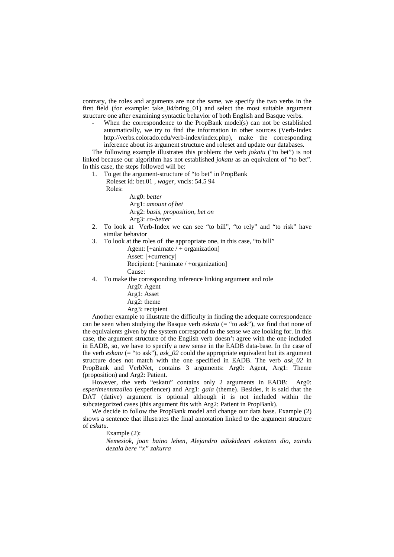contrary, the roles and arguments are not the same, we specify the two verbs in the first field (for example: take\_04/bring\_01) and select the most suitable argument structure one after examining syntactic behavior of both English and Basque verbs.

When the correspondence to the PropBank model(s) can not be established automatically, we try to find the information in other sources (Verb-Index http://verbs.colorado.edu/verb-index/index.php), make the corresponding inference about its argument structure and roleset and update our databases.

The following example illustrates this problem: the verb *jokatu* ("to bet") is not linked because our algorithm has not established *jokatu* as an equivalent of "to bet". In this case, the steps followed will be:

- 1. To get the argument-structure of "to bet" in PropBank
	- Roleset id: bet.01 , *wager*, vncls: 54.5 94

Roles:

- Arg0: *better* Arg1: *amount of bet* Arg2: *basis, proposition, bet on* Arg3: *co-better*
- 2. To look at Verb-Index we can see "to bill", "to rely" and "to risk" have similar behavior
- 3. To look at the roles of the appropriate one, in this case, "to bill"
	- Agent:  $[-\text{amimate} / + \text{organization}]$

Asset: [+currency]

Recipient: [+animate / +organization]

Cause:

- 4. To make the corresponding inference linking argument and role
	- Arg0: Agent
	- Arg1: Asset
	- Arg2: theme
	- Arg3: recipient

Another example to illustrate the difficulty in finding the adequate correspondence can be seen when studying the Basque verb *eskatu* (= "to ask"), we find that none of the equivalents given by the system correspond to the sense we are looking for. In this case, the argument structure of the English verb doesn't agree with the one included in EADB, so, we have to specify a new sense in the EADB data-base. In the case of the verb *eskatu* (= "to ask"), *ask* 02 could the appropriate equivalent but its argument structure does not match with the one specified in EADB. The verb *ask\_02* in PropBank and VerbNet, contains 3 arguments: Arg0: Agent, Arg1: Theme (proposition) and Arg2: Patient.

However, the verb "eskatu" contains only 2 arguments in EADB: Arg0: *esperimentatzailea* (experiencer) and Arg1: *gaia* (theme). Besides, it is said that the DAT (dative) argument is optional although it is not included within the subcategorized cases (this argument fits with Arg2: Patient in PropBank).

We decide to follow the PropBank model and change our data base. Example (2) shows a sentence that illustrates the final annotation linked to the argument structure of *eskatu.*

Example (2):

*Nemesiok, joan baino lehen, Alejandro adiskideari eskatzen dio, zaindu dezala bere "x" zakurra*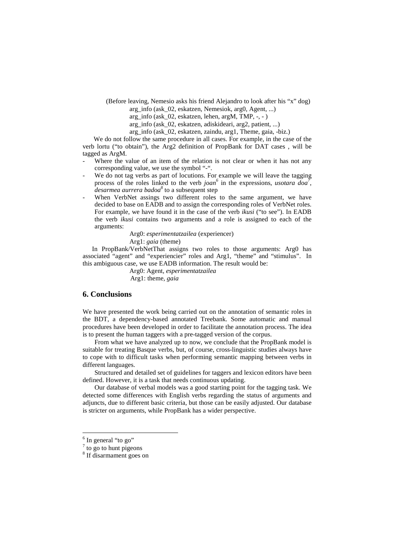- (Before leaving, Nemesio asks his friend Alejandro to look after his "x" dog)
	- arg\_info (ask\_02, eskatzen, Nemesiok, arg0, Agent, ...)
	- arg info (ask  $02$ , eskatzen, lehen, argM, TMP,  $-$ ,  $-$  )
	- arg\_info (ask\_02, eskatzen, adiskideari, arg2, patient, ...)
	- arg\_info (ask\_02, eskatzen, zaindu, arg1, Theme, gaia, -biz.)

 We do not follow the same procedure in all cases. For example, in the case of the verb lortu ("to obtain"), the Arg2 definition of PropBank for DAT cases , will be tagged as ArgM.

- Where the value of an item of the relation is not clear or when it has not any corresponding value, we use the symbol "-".
- We do not tag verbs as part of locutions. For example we will leave the tagging process of the roles linked to the verb *joan*<sup>6</sup> in the expressions, *usotara doa*<sup>7</sup>, *desarmea aurrera badoa<sup>8</sup>* to a subsequent step
- When VerbNet assings two different roles to the same argument, we have decided to base on EADB and to assign the corresponding roles of VerbNet roles. For example, we have found it in the case of the verb *ikusi* ("to see"). In EADB the verb *ikusi* contains two arguments and a role is assigned to each of the arguments:

Arg0: *esperimentatzailea* (experiencer)

Arg1: *gaia* (theme)

In PropBank/VerbNetThat assigns two roles to those arguments: Arg0 has associated "agent" and "experiencier" roles and Arg1, "theme" and "stimulus". In this ambiguous case, we use EADB information. The result would be:

 Arg0: Agent, *esperimentatzailea* Arg1: theme, *gaia*

## **6. Conclusions**

We have presented the work being carried out on the annotation of semantic roles in the BDT, a dependency-based annotated Treebank. Some automatic and manual procedures have been developed in order to facilitate the annotation process. The idea is to present the human taggers with a pre-tagged version of the corpus.

From what we have analyzed up to now, we conclude that the PropBank model is suitable for treating Basque verbs, but, of course, cross-linguistic studies always have to cope with to difficult tasks when performing semantic mapping between verbs in different languages.

Structured and detailed set of guidelines for taggers and lexicon editors have been defined. However, it is a task that needs continuous updating.

Our database of verbal models was a good starting point for the tagging task. We detected some differences with English verbs regarding the status of arguments and adjuncts, due to different basic criteria, but those can be easily adjusted. Our database is stricter on arguments, while PropBank has a wider perspective.

 $\overline{a}$ 

<sup>&</sup>lt;sup>6</sup> In general "to go"

 $7$  to go to hunt pigeons

<sup>8</sup> If disarmament goes on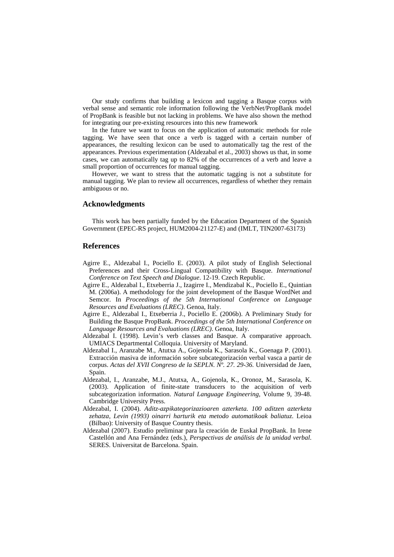Our study confirms that building a lexicon and tagging a Basque corpus with verbal sense and semantic role information following the VerbNet/PropBank model of PropBank is feasible but not lacking in problems. We have also shown the method for integrating our pre-existing resources into this new framework

In the future we want to focus on the application of automatic methods for role tagging. We have seen that once a verb is tagged with a certain number of appearances, the resulting lexicon can be used to automatically tag the rest of the appearances. Previous experimentation (Aldezabal et al., 2003) shows us that, in some cases, we can automatically tag up to 82% of the occurrences of a verb and leave a small proportion of occurrences for manual tagging.

However, we want to stress that the automatic tagging is not a substitute for manual tagging. We plan to review all occurrences, regardless of whether they remain ambiguous or no.

#### **Acknowledgments**

This work has been partially funded by the Education Department of the Spanish Government (EPEC-RS project, HUM2004-21127-E) and (IMLT, TIN2007-63173)

## **References**

- Agirre E., Aldezabal I., Pociello E. (2003). A pilot study of English Selectional Preferences and their Cross-Lingual Compatibility with Basque. *International Conference on Text Speech and Dialogue*. 12-19. Czech Republic.
- Agirre E., Aldezabal I., Etxeberria J., Izagirre I., Mendizabal K., Pociello E., Quintian M. (2006a). A methodology for the joint development of the Basque WordNet and Semcor. In *Proceedings of the 5th International Conference on Language Resources and Evaluations (LREC)*. Genoa, Italy.
- Agirre E., Aldezabal I., Etxeberria J., Pociello E. (2006b). A Preliminary Study for Building the Basque PropBank. *Proceedings of the 5th International Conference on Language Resources and Evaluations (LREC)*. Genoa, Italy.
- Aldezabal I. (1998). Levin's verb classes and Basque. A comparative approach. UMIACS Departmental Colloquia. University of Maryland.
- Aldezabal I., Aranzabe M., Atutxa A., Gojenola K., Sarasola K., Goenaga P. (2001). Extracción masiva de información sobre subcategorización verbal vasca a partir de corpus. *Actas del XVII Congreso de la SEPLN. Nº. 27. 29-36.* Universidad de Jaen, Spain.
- Aldezabal, I., Aranzabe, M.J., Atutxa, A., Gojenola, K., Oronoz, M., Sarasola, K. (2003). Application of finite-state transducers to the acquisition of verb subcategorization information. *Natural Language Engineering*, Volume 9, 39-48. Cambridge University Press.
- Aldezabal, I. (2004). *Aditz-azpikategorizazioaren azterketa. 100 aditzen azterketa zehatza, Levin (1993) oinarri harturik eta metodo automatikoak baliatuz*. Leioa (Bilbao): University of Basque Country thesis.
- Aldezabal (2007). Estudio preliminar para la creación de Euskal PropBank. In Irene Castellón and Ana Fernández (eds.), *Perspectivas de análisis de la unidad verbal*. SERES. Universitat de Barcelona. Spain.